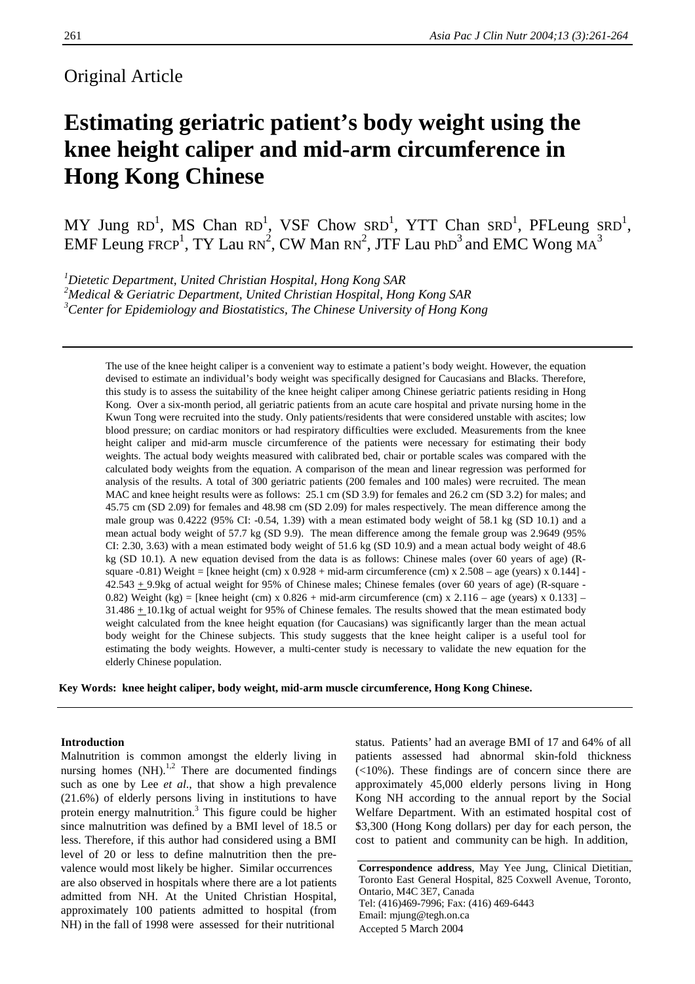## Original Article

# **Estimating geriatric patient's body weight using the knee height caliper and mid-arm circumference in Hong Kong Chinese**

MY Jung RD<sup>1</sup>, MS Chan RD<sup>1</sup>, VSF Chow SRD<sup>1</sup>, YTT Chan SRD<sup>1</sup>, PFLeung SRD<sup>1</sup>, EMF Leung FRCP<sup>1</sup>, TY Lau RN<sup>2</sup>, CW Man RN<sup>2</sup>, JTF Lau PhD<sup>3</sup> and EMC Wong MA<sup>3</sup>

*1 Dietetic Department, United Christian Hospital, Hong Kong SAR 2 Medical & Geriatric Department, United Christian Hospital, Hong Kong SAR 3 Center for Epidemiology and Biostatistics, The Chinese University of Hong Kong*

The use of the knee height caliper is a convenient way to estimate a patient's body weight. However, the equation devised to estimate an individual's body weight was specifically designed for Caucasians and Blacks. Therefore, this study is to assess the suitability of the knee height caliper among Chinese geriatric patients residing in Hong Kong. Over a six-month period, all geriatric patients from an acute care hospital and private nursing home in the Kwun Tong were recruited into the study. Only patients/residents that were considered unstable with ascites; low blood pressure; on cardiac monitors or had respiratory difficulties were excluded. Measurements from the knee height caliper and mid-arm muscle circumference of the patients were necessary for estimating their body weights. The actual body weights measured with calibrated bed, chair or portable scales was compared with the calculated body weights from the equation. A comparison of the mean and linear regression was performed for analysis of the results. A total of 300 geriatric patients (200 females and 100 males) were recruited. The mean MAC and knee height results were as follows: 25.1 cm (SD 3.9) for females and 26.2 cm (SD 3.2) for males; and 45.75 cm (SD 2.09) for females and 48.98 cm (SD 2.09) for males respectively. The mean difference among the male group was 0.4222 (95% CI: -0.54, 1.39) with a mean estimated body weight of 58.1 kg (SD 10.1) and a mean actual body weight of 57.7 kg (SD 9.9). The mean difference among the female group was 2.9649 (95% CI: 2.30, 3.63) with a mean estimated body weight of 51.6 kg (SD 10.9) and a mean actual body weight of 48.6 kg (SD 10.1). A new equation devised from the data is as follows: Chinese males (over 60 years of age) (Rsquare  $-0.81$ ) Weight = [knee height (cm) x  $0.928 + \text{mid-arm}$  circumference (cm) x  $2.508 - \text{age}$  (years) x  $0.144$ ] -42.543 + 9.9kg of actual weight for 95% of Chinese males; Chinese females (over 60 years of age) (R-square - 0.82) Weight (kg) = [knee height (cm) x  $0.826 + \text{mid-arm}$  circumference (cm) x  $2.116 - \text{age}$  (years) x  $0.133$ ] – 31.486 + 10.1kg of actual weight for 95% of Chinese females. The results showed that the mean estimated body weight calculated from the knee height equation (for Caucasians) was significantly larger than the mean actual body weight for the Chinese subjects. This study suggests that the knee height caliper is a useful tool for estimating the body weights. However, a multi-center study is necessary to validate the new equation for the elderly Chinese population.

**Key Words: knee height caliper, body weight, mid-arm muscle circumference, Hong Kong Chinese.**

### **Introduction**

Malnutrition is common amongst the elderly living in nursing homes  $(NH)$ <sup>1,2</sup> There are documented findings such as one by Lee *et al*., that show a high prevalence (21.6%) of elderly persons living in institutions to have protein energy malnutrition.<sup>3</sup> This figure could be higher since malnutrition was defined by a BMI level of 18.5 or less. Therefore, if this author had considered using a BMI level of 20 or less to define malnutrition then the prevalence would most likely be higher. Similar occurrences are also observed in hospitals where there are a lot patients admitted from NH. At the United Christian Hospital, approximately 100 patients admitted to hospital (from NH) in the fall of 1998 were assessed for their nutritional

status. Patients' had an average BMI of 17 and 64% of all patients assessed had abnormal skin-fold thickness (<10%). These findings are of concern since there are approximately 45,000 elderly persons living in Hong Kong NH according to the annual report by the Social Welfare Department. With an estimated hospital cost of \$3,300 (Hong Kong dollars) per day for each person, the cost to patient and community can be high. In addition,

**Correspondence address**, May Yee Jung, Clinical Dietitian, Toronto East General Hospital, 825 Coxwell Avenue, Toronto, Ontario, M4C 3E7, Canada Tel: (416)469-7996; Fax: (416) 469-6443 Email: mjung@tegh.on.ca Accepted 5 March 2004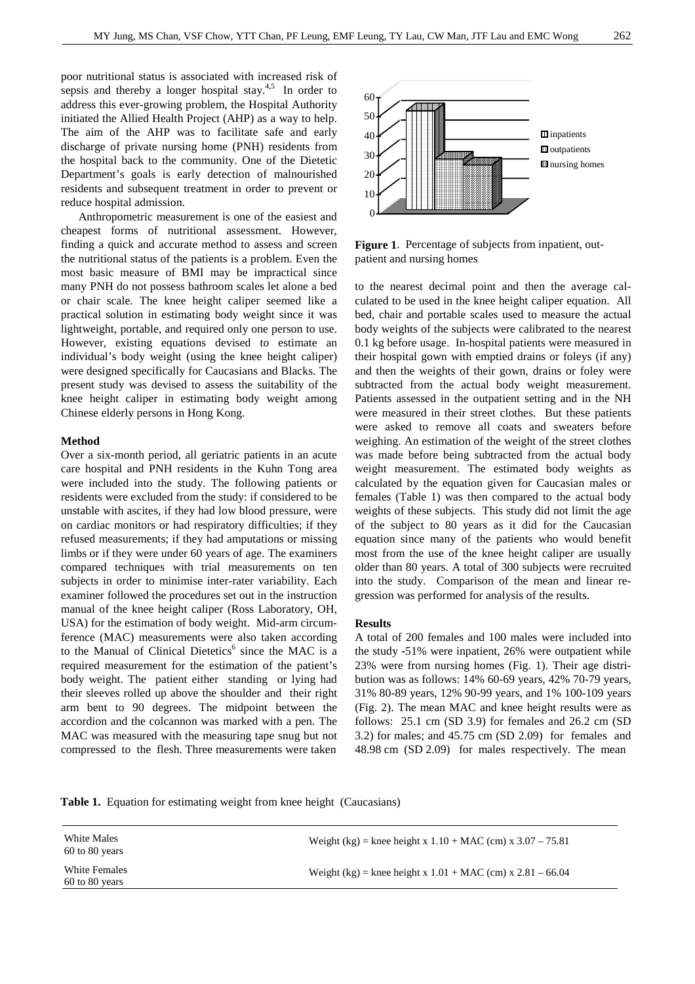poor nutritional status is associated with increased risk of sepsis and thereby a longer hospital stay.<sup>4,5</sup> In order to address this ever-growing problem, the Hospital Authority initiated the Allied Health Project (AHP) as a way to help. The aim of the AHP was to facilitate safe and early discharge of private nursing home (PNH) residents from the hospital back to the community. One of the Dietetic Department's goals is early detection of malnourished residents and subsequent treatment in order to prevent or reduce hospital admission.

 Anthropometric measurement is one of the easiest and cheapest forms of nutritional assessment. However, finding a quick and accurate method to assess and screen the nutritional status of the patients is a problem. Even the most basic measure of BMI may be impractical since many PNH do not possess bathroom scales let alone a bed or chair scale. The knee height caliper seemed like a practical solution in estimating body weight since it was lightweight, portable, and required only one person to use. However, existing equations devised to estimate an individual's body weight (using the knee height caliper) were designed specifically for Caucasians and Blacks. The present study was devised to assess the suitability of the knee height caliper in estimating body weight among Chinese elderly persons in Hong Kong.

#### **Method**

Over a six-month period, all geriatric patients in an acute care hospital and PNH residents in the Kuhn Tong area were included into the study. The following patients or residents were excluded from the study: if considered to be unstable with ascites, if they had low blood pressure, were on cardiac monitors or had respiratory difficulties; if they refused measurements; if they had amputations or missing limbs or if they were under 60 years of age. The examiners compared techniques with trial measurements on ten subjects in order to minimise inter-rater variability. Each examiner followed the procedures set out in the instruction manual of the knee height caliper (Ross Laboratory, OH, USA) for the estimation of body weight. Mid-arm circumference (MAC) measurements were also taken according to the Manual of Clinical Dietetics<sup>6</sup> since the MAC is a required measurement for the estimation of the patient's body weight. The patient either standing or lying had their sleeves rolled up above the shoulder and their right arm bent to 90 degrees. The midpoint between the accordion and the colcannon was marked with a pen. The MAC was measured with the measuring tape snug but not compressed to the flesh. Three measurements were taken



**Figure 1**. Percentage of subjects from inpatient, outpatient and nursing homes

to the nearest decimal point and then the average calculated to be used in the knee height caliper equation. All bed, chair and portable scales used to measure the actual body weights of the subjects were calibrated to the nearest 0.1 kg before usage. In-hospital patients were measured in their hospital gown with emptied drains or foleys (if any) and then the weights of their gown, drains or foley were subtracted from the actual body weight measurement. Patients assessed in the outpatient setting and in the NH were measured in their street clothes. But these patients were asked to remove all coats and sweaters before weighing. An estimation of the weight of the street clothes was made before being subtracted from the actual body weight measurement. The estimated body weights as calculated by the equation given for Caucasian males or females (Table 1) was then compared to the actual body weights of these subjects. This study did not limit the age of the subject to 80 years as it did for the Caucasian equation since many of the patients who would benefit most from the use of the knee height caliper are usually older than 80 years. A total of 300 subjects were recruited into the study. Comparison of the mean and linear regression was performed for analysis of the results.

#### **Results**

A total of 200 females and 100 males were included into the study -51% were inpatient, 26% were outpatient while 23% were from nursing homes (Fig. 1). Their age distribution was as follows: 14% 60-69 years, 42% 70-79 years, 31% 80-89 years, 12% 90-99 years, and 1% 100-109 years (Fig. 2). The mean MAC and knee height results were as follows: 25.1 cm (SD 3.9) for females and 26.2 cm (SD 3.2) for males; and 45.75 cm (SD 2.09) for females and 48.98 cm (SD 2.09) for males respectively. The mean

**Table 1.** Equation for estimating weight from knee height (Caucasians)

| White Males<br>60 to 80 years   | Weight (kg) = knee height x $1.10 + \text{MAC (cm)}$ x $3.07 - 75.81$ |  |
|---------------------------------|-----------------------------------------------------------------------|--|
| White Females<br>60 to 80 years | Weight (kg) = knee height x $1.01 + \text{MAC (cm)}$ x $2.81 - 66.04$ |  |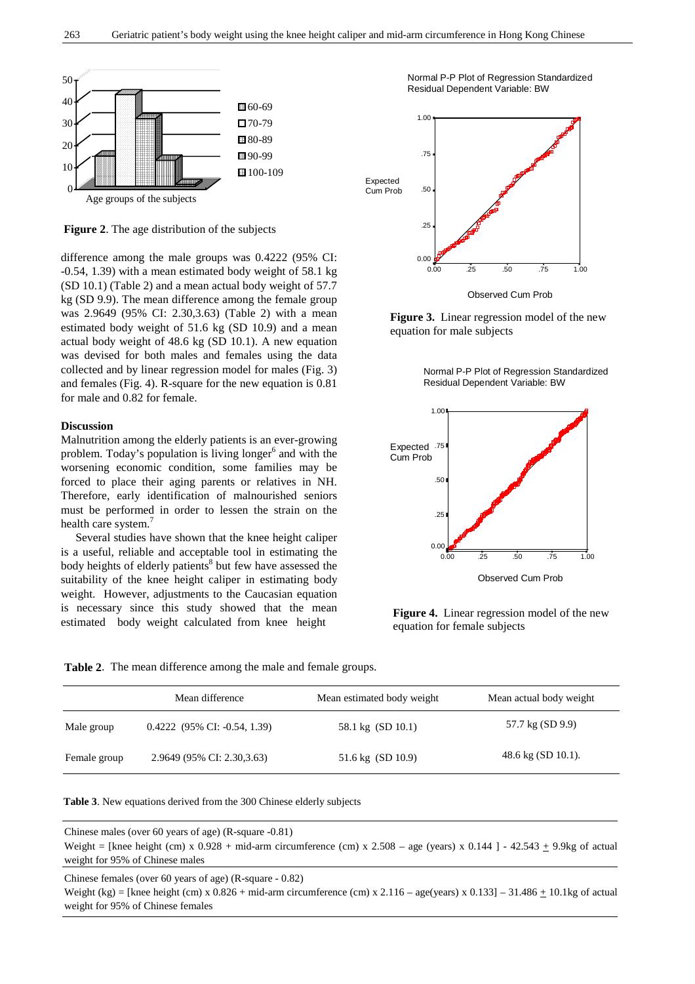

 **Figure 2**. The age distribution of the subjects

difference among the male groups was 0.4222 (95% CI: -0.54, 1.39) with a mean estimated body weight of 58.1 kg (SD 10.1) (Table 2) and a mean actual body weight of 57.7 kg (SD 9.9). The mean difference among the female group was 2.9649 (95% CI: 2.30,3.63) (Table 2) with a mean estimated body weight of 51.6 kg (SD 10.9) and a mean actual body weight of 48.6 kg (SD 10.1). A new equation was devised for both males and females using the data collected and by linear regression model for males (Fig. 3) and females (Fig. 4). R-square for the new equation is 0.81 for male and 0.82 for female.

#### **Discussion**

Malnutrition among the elderly patients is an ever-growing problem. Today's population is living longer<sup>6</sup> and with the worsening economic condition, some families may be forced to place their aging parents or relatives in NH. Therefore, early identification of malnourished seniors must be performed in order to lessen the strain on the health care system.<sup>7</sup>

 Several studies have shown that the knee height caliper is a useful, reliable and acceptable tool in estimating the body heights of elderly patients<sup>8</sup> but few have assessed the suitability of the knee height caliper in estimating body weight. However, adjustments to the Caucasian equation is necessary since this study showed that the mean estimated body weight calculated from knee height

 Normal P-P Plot of Regression Standardized Residual Dependent Variable: BW



 **Figure 3.** Linear regression model of the new equation for male subjects

Normal P-P Plot of Regression Standardized Residual Dependent Variable: BW



 **Figure 4.** Linear regression model of the new equation for female subjects

**Table 2**. The mean difference among the male and female groups.

|              | Mean difference                | Mean estimated body weight | Mean actual body weight      |
|--------------|--------------------------------|----------------------------|------------------------------|
| Male group   | $0.4222$ (95% CI: -0.54, 1.39) | 58.1 kg (SD 10.1)          | 57.7 kg (SD 9.9)             |
| Female group | 2.9649 (95% CI: 2.30,3.63)     | 51.6 kg (SD 10.9)          | $48.6 \text{ kg}$ (SD 10.1). |

**Table 3**. New equations derived from the 300 Chinese elderly subjects

Chinese males (over 60 years of age) (R-square -0.81) Weight = [knee height (cm) x 0.928 + mid-arm circumference (cm) x 2.508 – age (years) x 0.144 ] - 42.543  $\pm$  9.9kg of actual weight for 95% of Chinese males

Chinese females (over 60 years of age) (R-square - 0.82)

Weight (kg) = [knee height (cm) x  $0.826 + \text{mid-arm}$  circumference (cm) x  $2.116 - \text{age}$  (years) x  $0.1331 - 31.486 + 10.1$ kg of actual weight for 95% of Chinese females